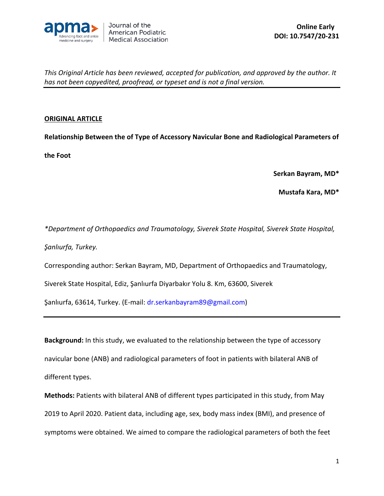

### **ORIGINAL ARTICLE**

**Relationship Between the of Type of Accessory Navicular Bone and Radiological Parameters of** 

**the Foot**

**Serkan Bayram, MD\***

**Mustafa Kara, MD\***

*\*Department of Orthopaedics and Traumatology, Siverek State Hospital, Siverek State Hospital,* 

*Şanlıurfa, Turkey.*

Corresponding author: Serkan Bayram, MD, Department of Orthopaedics and Traumatology,

Siverek State Hospital, Ediz, Şanlıurfa Diyarbakır Yolu 8. Km, 63600, Siverek

Şanlıurfa, 63614, Turkey. (E-mail: [dr.serkanbayram89@gmail.com](mailto:dr.serkanbayram89@gmail.com))

**Background:** In this study, we evaluated to the relationship between the type of accessory navicular bone (ANB) and radiological parameters of foot in patients with bilateral ANB of different types.

**Methods:** Patients with bilateral ANB of different types participated in this study, from May 2019 to April 2020. Patient data, including age, sex, body mass index (BMI), and presence of symptoms were obtained. We aimed to compare the radiological parameters of both the feet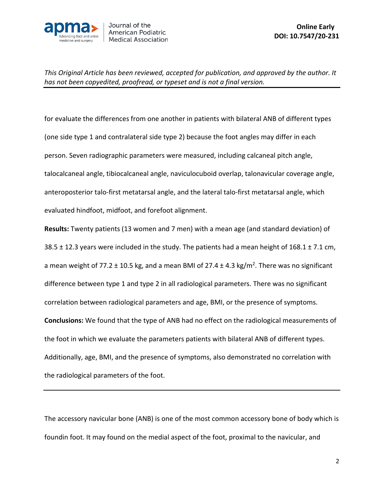

for evaluate the differences from one another in patients with bilateral ANB of different types (one side type 1 and contralateral side type 2) because the foot angles may differ in each person. Seven radiographic parameters were measured, including calcaneal pitch angle, talocalcaneal angle, tibiocalcaneal angle, naviculocuboid overlap, talonavicular coverage angle, anteroposterior talo-first metatarsal angle, and the lateral talo-first metatarsal angle, which evaluated hindfoot, midfoot, and forefoot alignment.

**Results:** Twenty patients (13 women and 7 men) with a mean age (and standard deviation) of 38.5  $\pm$  12.3 years were included in the study. The patients had a mean height of 168.1  $\pm$  7.1 cm, a mean weight of 77.2  $\pm$  10.5 kg, and a mean BMI of 27.4  $\pm$  4.3 kg/m<sup>2</sup>. There was no significant difference between type 1 and type 2 in all radiological parameters. There was no significant correlation between radiological parameters and age, BMI, or the presence of symptoms. **Conclusions:** We found that the type of ANB had no effect on the radiological measurements of the foot in which we evaluate the parameters patients with bilateral ANB of different types. Additionally, age, BMI, and the presence of symptoms, also demonstrated no correlation with the radiological parameters of the foot.

The accessory navicular bone (ANB) is one of the most common accessory bone of body which is foundin foot. It may found on the medial aspect of the foot, proximal to the navicular, and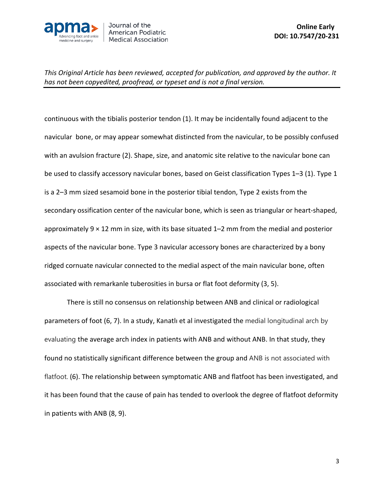

continuous with the tibialis posterior tendon (1). It may be incidentally found adjacent to the navicular bone, or may appear somewhat distincted from the navicular, to be possibly confused with an avulsion fracture (2). Shape, size, and anatomic site relative to the navicular bone can be used to classify accessory navicular bones, based on Geist classification Types 1–3 (1). Type 1 is a 2–3 mm sized sesamoid bone in the posterior tibial tendon, Type 2 exists from the secondary ossification center of the navicular bone, which is seen as triangular or heart-shaped, approximately  $9 \times 12$  mm in size, with its base situated  $1-2$  mm from the medial and posterior aspects of the navicular bone. Type 3 navicular accessory bones are characterized by a bony ridged cornuate navicular connected to the medial aspect of the main navicular bone, often associated with remarkanle tuberosities in bursa or flat foot deformity (3, 5).

There is still no consensus on relationship between ANB and clinical or radiological parameters of foot (6, 7). In a study, Kanatlı et al investigated the medial longitudinal arch by evaluating the average arch index in patients with ANB and without ANB. In that study, they found no statistically significant difference between the group and ANB is not associated with flatfoot. (6). The relationship between symptomatic ANB and flatfoot has been investigated, and it has been found that the cause of pain has tended to overlook the degree of flatfoot deformity in patients with ANB (8, 9).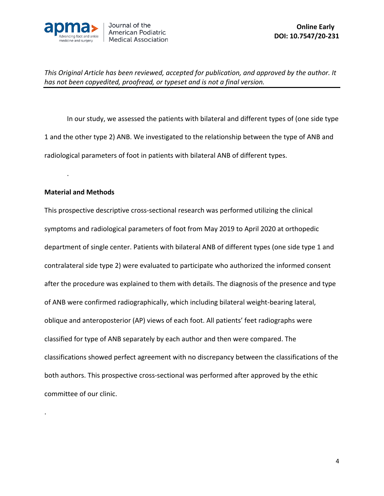

In our study, we assessed the patients with bilateral and different types of (one side type 1 and the other type 2) ANB. We investigated to the relationship between the type of ANB and radiological parameters of foot in patients with bilateral ANB of different types.

### **Material and Methods**

.

.

This prospective descriptive cross-sectional research was performed utilizing the clinical symptoms and radiological parameters of foot from May 2019 to April 2020 at orthopedic department of single center. Patients with bilateral ANB of different types (one side type 1 and contralateral side type 2) were evaluated to participate who authorized the informed consent after the procedure was explained to them with details. The diagnosis of the presence and type of ANB were confirmed radiographically, which including bilateral weight-bearing lateral, oblique and anteroposterior (AP) views of each foot. All patients' feet radiographs were classified for type of ANB separately by each author and then were compared. The classifications showed perfect agreement with no discrepancy between the classifications of the both authors. This prospective cross-sectional was performed after approved by the ethic committee of our clinic.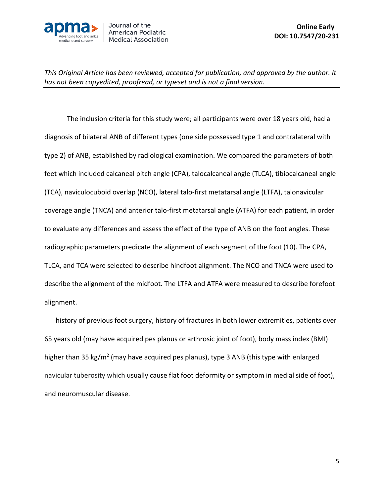

The inclusion criteria for this study were; all participants were over 18 years old, had a diagnosis of bilateral ANB of different types (one side possessed type 1 and contralateral with type 2) of ANB, established by radiological examination. We compared the parameters of both feet which included calcaneal pitch angle (CPA), talocalcaneal angle (TLCA), tibiocalcaneal angle (TCA), naviculocuboid overlap (NCO), lateral talo-first metatarsal angle (LTFA), talonavicular coverage angle (TNCA) and anterior talo-first metatarsal angle (ATFA) for each patient, in order to evaluate any differences and assess the effect of the type of ANB on the foot angles. These radiographic parameters predicate the alignment of each segment of the foot (10). The CPA, TLCA, and TCA were selected to describe hindfoot alignment. The NCO and TNCA were used to describe the alignment of the midfoot. The LTFA and ATFA were measured to describe forefoot alignment.

history of previous foot surgery, history of fractures in both lower extremities, patients over 65 years old (may have acquired pes planus or arthrosic joint of foot), body mass index (BMI) higher than 35 kg/m<sup>2</sup> (may have acquired pes planus), type 3 ANB (this type with enlarged navicular tuberosity which usually cause flat foot deformity or symptom in medial side of foot), and neuromuscular disease.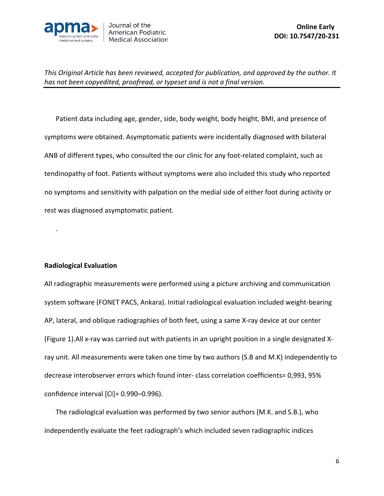

Patient data including age, gender, side, body weight, body height, BMI, and presence of symptoms were obtained. Asymptomatic patients were incidentally diagnosed with bilateral ANB of different types, who consulted the our clinic for any foot-related complaint, such as tendinopathy of foot. Patients without symptoms were also included this study who reported no symptoms and sensitivity with palpation on the medial side of either foot during activity or rest was diagnosed asymptomatic patient.

## **Radiological Evaluation**

.

All radiographic measurements were performed using a picture archiving and communication system software (FONET PACS, Ankara). Initial radiological evaluation included weight-bearing AP, lateral, and oblique radiographies of both feet, using a same X-ray device at our center (Figure 1).All x-ray was carried out with patients in an upright position in a single designated Xray unit. All measurements were taken one time by two authors (S.B and M.K) independently to decrease interobserver errors which found inter- class correlation coefficients= 0,993, 95% confidence interval [CI]= 0.990–0.996).

The radiological evaluation was performed by two senior authors (M.K. and S.B.), who independently evaluate the feet radiograph's which included seven radiographic indices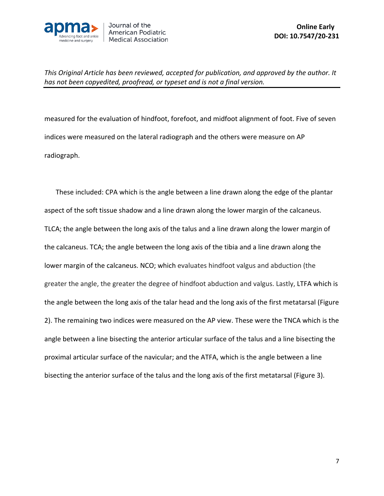

measured for the evaluation of hindfoot, forefoot, and midfoot alignment of foot. Five of seven indices were measured on the lateral radiograph and the others were measure on AP radiograph.

These included: CPA which is the angle between a line drawn along the edge of the plantar aspect of the soft tissue shadow and a line drawn along the lower margin of the calcaneus. TLCA; the angle between the long axis of the talus and a line drawn along the lower margin of the calcaneus. TCA; the angle between the long axis of the tibia and a line drawn along the lower margin of the calcaneus. NCO; which evaluates hindfoot valgus and abduction (the greater the angle, the greater the degree of hindfoot abduction and valgus. Lastly, LTFA which is the angle between the long axis of the talar head and the long axis of the first metatarsal (Figure 2). The remaining two indices were measured on the AP view. These were the TNCA which is the angle between a line bisecting the anterior articular surface of the talus and a line bisecting the proximal articular surface of the navicular; and the ATFA, which is the angle between a line bisecting the anterior surface of the talus and the long axis of the first metatarsal (Figure 3).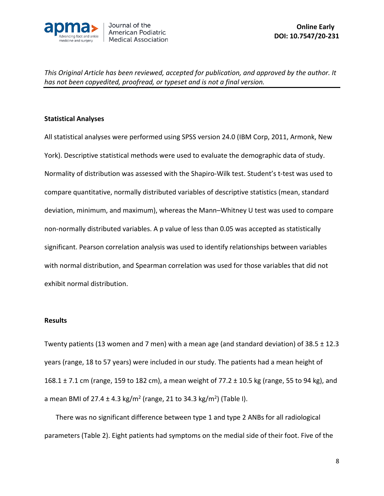

## **Statistical Analyses**

All statistical analyses were performed using SPSS version 24.0 (IBM Corp, 2011, Armonk, New York). Descriptive statistical methods were used to evaluate the demographic data of study. Normality of distribution was assessed with the Shapiro-Wilk test. Student's t-test was used to compare quantitative, normally distributed variables of descriptive statistics (mean, standard deviation, minimum, and maximum), whereas the Mann–Whitney U test was used to compare non-normally distributed variables. A p value of less than 0.05 was accepted as statistically significant. Pearson correlation analysis was used to identify relationships between variables with normal distribution, and Spearman correlation was used for those variables that did not exhibit normal distribution.

#### **Results**

Twenty patients (13 women and 7 men) with a mean age (and standard deviation) of 38.5 ± 12.3 years (range, 18 to 57 years) were included in our study. The patients had a mean height of 168.1 ± 7.1 cm (range, 159 to 182 cm), a mean weight of 77.2 ± 10.5 kg (range, 55 to 94 kg), and a mean BMI of 27.4  $\pm$  4.3 kg/m<sup>2</sup> (range, 21 to 34.3 kg/m<sup>2</sup>) (Table I).

There was no significant difference between type 1 and type 2 ANBs for all radiological parameters (Table 2). Eight patients had symptoms on the medial side of their foot. Five of the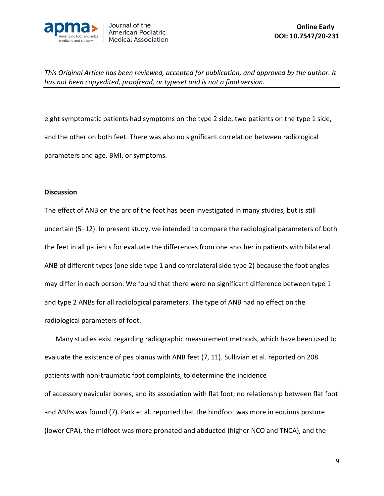

eight symptomatic patients had symptoms on the type 2 side, two patients on the type 1 side, and the other on both feet. There was also no significant correlation between radiological parameters and age, BMI, or symptoms.

#### **Discussion**

The effect of ANB on the arc of the foot has been investigated in many studies, but is still uncertain (5–12). In present study, we intended to compare the radiological parameters of both the feet in all patients for evaluate the differences from one another in patients with bilateral ANB of different types (one side type 1 and contralateral side type 2) because the foot angles may differ in each person. We found that there were no significant difference between type 1 and type 2 ANBs for all radiological parameters. The type of ANB had no effect on the radiological parameters of foot.

Many studies exist regarding radiographic measurement methods, which have been used to evaluate the existence of pes planus with ANB feet (7, 11). Sullivian et al. reported on 208 patients with non-traumatic foot complaints, to determine the incidence of accessory navicular bones, and its association with flat foot; no relationship between flat foot and ANBs was found (7). Park et al. reported that the hindfoot was more in equinus posture (lower CPA), the midfoot was more pronated and abducted (higher NCO and TNCA), and the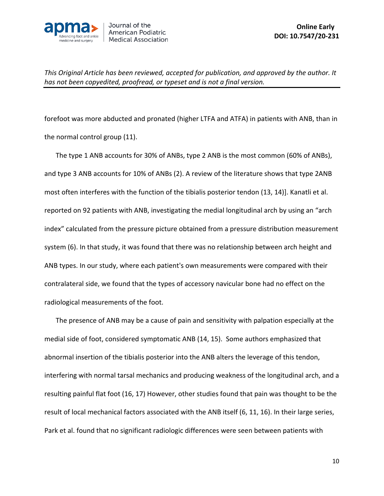

forefoot was more abducted and pronated (higher LTFA and ATFA) in patients with ANB, than in the normal control group (11).

The type 1 ANB accounts for 30% of ANBs, type 2 ANB is the most common (60% of ANBs), and type 3 ANB accounts for 10% of ANBs (2). A review of the literature shows that type 2ANB most often interferes with the function of the tibialis posterior tendon (13, 14)]. Kanatli et al. reported on 92 patients with ANB, investigating the medial longitudinal arch by using an "arch index" calculated from the pressure picture obtained from a pressure distribution measurement system (6). In that study, it was found that there was no relationship between arch height and ANB types. In our study, where each patient's own measurements were compared with their contralateral side, we found that the types of accessory navicular bone had no effect on the radiological measurements of the foot.

The presence of ANB may be a cause of pain and sensitivity with palpation especially at the medial side of foot, considered symptomatic ANB (14, 15). Some authors emphasized that abnormal insertion of the tibialis posterior into the ANB alters the leverage of this tendon, interfering with normal tarsal mechanics and producing weakness of the longitudinal arch, and a resulting painful flat foot (16, 17) However, other studies found that pain was thought to be the result of local mechanical factors associated with the ANB itself (6, 11, 16). In their large series, Park et al. found that no significant radiologic differences were seen between patients with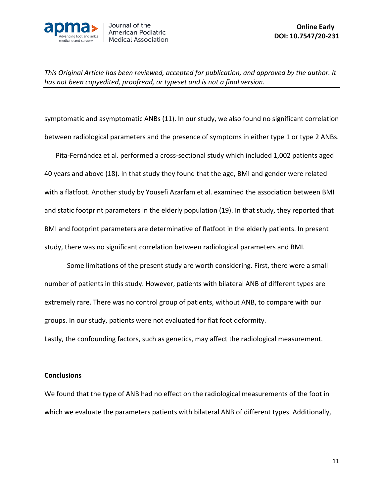

symptomatic and asymptomatic ANBs (11). In our study, we also found no significant correlation between radiological parameters and the presence of symptoms in either type 1 or type 2 ANBs.

Pita-Fernández et al. performed a cross-sectional study which included 1,002 patients aged 40 years and above (18). In that study they found that the age, BMI and gender were related with a flatfoot. Another study by [Yousefi Azarfam](https://www.ncbi.nlm.nih.gov/pubmed/?term=Yousefi%20Azarfam%20AA%5BAuthor%5D&cauthor=true&cauthor_uid=25241264) et al. examined the association between BMI and static footprint parameters in the elderly population (19). In that study, they reported that BMI and footprint parameters are determinative of flatfoot in the elderly patients. In present study, there was no significant correlation between radiological parameters and BMI.

Some limitations of the present study are worth considering. First, there were a small number of patients in this study. However, patients with bilateral ANB of different types are extremely rare. There was no control group of patients, without ANB, to compare with our groups. In our study, patients were not evaluated for flat foot deformity.

Lastly, the confounding factors, such as genetics, may affect the radiological measurement.

## **Conclusions**

We found that the type of ANB had no effect on the radiological measurements of the foot in which we evaluate the parameters patients with bilateral ANB of different types. Additionally,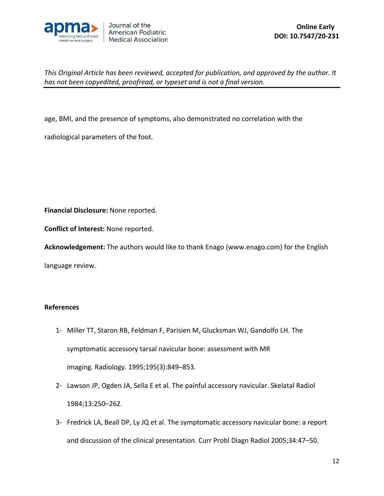

age, BMI, and the presence of symptoms, also demonstrated no correlation with the

radiological parameters of the foot.

**Financial Disclosure:** None reported.

**Conflict of Interest:** None reported.

**Acknowledgement:** The authors would like to thank Enago (www.enago.com) for the English

language review.

## **References**

- 1- Miller TT, Staron RB, Feldman F, Parisien M, Glucksman WJ, Gandolfo LH. The symptomatic accessory tarsal navicular bone: assessment with MR imaging. Radiology. 1995;195(3):849–853.
- 2- Lawson JP, Ogden JA, Sella E et al. The painful accessory navicular. Skelatal Radiol 1984;13:250–262.
- 3- Fredrick LA, Beall DP, Ly JQ et al. The symptomatic accessory navicular bone: a report and discussion of the clinical presentation. Curr Probl Diagn Radiol 2005;34:47–50.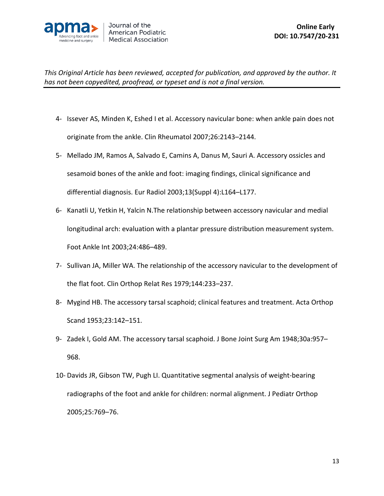

- 4- Issever AS, Minden K, Eshed I et al. Accessory navicular bone: when ankle pain does not originate from the ankle. Clin Rheumatol 2007;26:2143–2144.
- 5- Mellado JM, Ramos A, Salvado E, Camins A, Danus M, Sauri A. Accessory ossicles and sesamoid bones of the ankle and foot: imaging findings, clinical significance and differential diagnosis. Eur Radiol 2003;13(Suppl 4):L164–L177.
- 6- Kanatli U, Yetkin H, Yalcin N.The relationship between accessory navicular and medial longitudinal arch: evaluation with a plantar pressure distribution measurement system. Foot Ankle Int 2003;24:486–489.
- 7- Sullivan JA, Miller WA. The relationship of the accessory navicular to the development of the flat foot. Clin Orthop Relat Res 1979;144:233–237.
- 8- Mygind HB. The accessory tarsal scaphoid; clinical features and treatment. Acta Orthop Scand 1953;23:142–151.
- 9- Zadek I, Gold AM. The accessory tarsal scaphoid. J Bone Joint Surg Am 1948;30a:957– 968.
- 10- Davids JR, Gibson TW, Pugh LI. Quantitative segmental analysis of weight-bearing radiographs of the foot and ankle for children: normal alignment. J Pediatr Orthop 2005;25:769–76.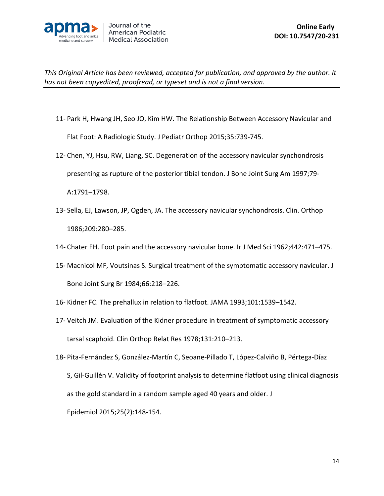

- 11- [Park H,](https://www.ncbi.nlm.nih.gov/pubmed/?term=Park%20H%5BAuthor%5D&cauthor=true&cauthor_uid=25393575) [Hwang JH,](https://www.ncbi.nlm.nih.gov/pubmed/?term=Hwang%20JH%5BAuthor%5D&cauthor=true&cauthor_uid=25393575) [Seo JO,](https://www.ncbi.nlm.nih.gov/pubmed/?term=Seo%20JO%5BAuthor%5D&cauthor=true&cauthor_uid=25393575) [Kim HW.](https://www.ncbi.nlm.nih.gov/pubmed/?term=Kim%20HW%5BAuthor%5D&cauthor=true&cauthor_uid=25393575) The Relationship Between Accessory Navicular and Flat Foot: A Radiologic Study. [J Pediatr Orthop](https://www.ncbi.nlm.nih.gov/pubmed/?term=The+Relationship+Between+Accessory+Navicular+and+Flat+Foot%3A+A+Radiologic+Study) 2015;35:739-745.
- 12- Chen, YJ, Hsu, RW, Liang, SC. Degeneration of the accessory navicular synchondrosis presenting as rupture of the posterior tibial tendon. J Bone Joint Surg Am 1997;79- A:1791–1798.
- 13- Sella, EJ, Lawson, JP, Ogden, JA. The accessory navicular synchondrosis. Clin. Orthop 1986;209:280–285.
- 14- Chater EH. Foot pain and the accessory navicular bone. Ir J Med Sci 1962;442:471–475.
- 15- Macnicol MF, Voutsinas S. Surgical treatment of the symptomatic accessory navicular. J Bone Joint Surg Br 1984;66:218–226.
- 16- Kidner FC. The prehallux in relation to flatfoot. JAMA 1993;101:1539–1542.
- 17- Veitch JM. Evaluation of the Kidner procedure in treatment of symptomatic accessory tarsal scaphoid. Clin Orthop Relat Res 1978;131:210–213.
- 18- Pita-[Fernández S](https://www.ncbi.nlm.nih.gov/pubmed/?term=Pita-Fern%C3%A1ndez%20S%5BAuthor%5D&cauthor=true&cauthor_uid=25382154), González[-Martín C,](https://www.ncbi.nlm.nih.gov/pubmed/?term=Gonz%C3%A1lez-Mart%C3%ADn%20C%5BAuthor%5D&cauthor=true&cauthor_uid=25382154) [Seoane-Pillado T,](https://www.ncbi.nlm.nih.gov/pubmed/?term=Seoane-Pillado%20T%5BAuthor%5D&cauthor=true&cauthor_uid=25382154) López[-Calviño B,](https://www.ncbi.nlm.nih.gov/pubmed/?term=L%C3%B3pez-Calvi%C3%B1o%20B%5BAuthor%5D&cauthor=true&cauthor_uid=25382154) [Pértega-Díaz](https://www.ncbi.nlm.nih.gov/pubmed/?term=P%C3%A9rtega-D%C3%ADaz%20S%5BAuthor%5D&cauthor=true&cauthor_uid=25382154)  [S,](https://www.ncbi.nlm.nih.gov/pubmed/?term=P%C3%A9rtega-D%C3%ADaz%20S%5BAuthor%5D&cauthor=true&cauthor_uid=25382154) Gil-[Guillén V.](https://www.ncbi.nlm.nih.gov/pubmed/?term=Gil-Guill%C3%A9n%20V%5BAuthor%5D&cauthor=true&cauthor_uid=25382154) Validity of footprint analysis to determine flatfoot using clinical diagnosis as the gold standard in a random sample aged 40 years and older. [J](https://www.ncbi.nlm.nih.gov/pubmed/25382154)  [Epidemiol](https://www.ncbi.nlm.nih.gov/pubmed/25382154) 2015;25(2):148-154.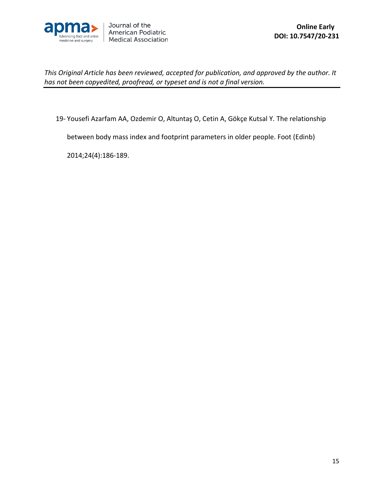

19- [Yousefi Azarfam AA](https://www.ncbi.nlm.nih.gov/pubmed/?term=Yousefi%20Azarfam%20AA%5BAuthor%5D&cauthor=true&cauthor_uid=25241264), [Ozdemir O,](https://www.ncbi.nlm.nih.gov/pubmed/?term=Ozdemir%20O%5BAuthor%5D&cauthor=true&cauthor_uid=25241264) [Altuntaş O](https://www.ncbi.nlm.nih.gov/pubmed/?term=Altunta%C5%9F%20O%5BAuthor%5D&cauthor=true&cauthor_uid=25241264), [Cetin A](https://www.ncbi.nlm.nih.gov/pubmed/?term=Cetin%20A%5BAuthor%5D&cauthor=true&cauthor_uid=25241264), [Gökçe Kutsal Y.](https://www.ncbi.nlm.nih.gov/pubmed/?term=G%C3%B6k%C3%A7e%20Kutsal%20Y%5BAuthor%5D&cauthor=true&cauthor_uid=25241264) The relationship

between body mass index and footprint parameters in older people. Foot [\(Edinb\)](https://www.ncbi.nlm.nih.gov/pubmed/25241264)

2014;24(4):186-189.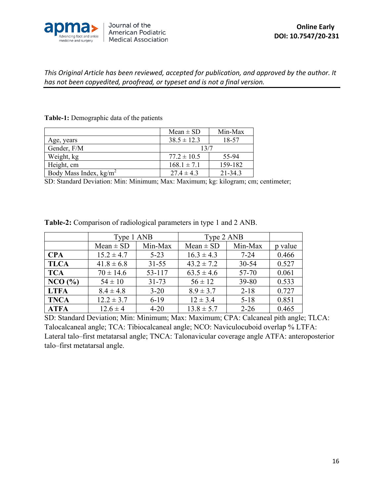

|                                  | $Mean \pm SD$   | Min-Max     |  |
|----------------------------------|-----------------|-------------|--|
| Age, years                       | $38.5 \pm 12.3$ | 18-57       |  |
| Gender, F/M                      | 13/7            |             |  |
| Weight, kg                       | $77.2 \pm 10.5$ | 55-94       |  |
| Height, cm                       | $168.1 \pm 7.1$ | 159-182     |  |
| Body Mass Index, $\text{kg/m}^2$ | $27.4 \pm 4.3$  | $21 - 34.3$ |  |

**Table-1:** Demographic data of the patients

SD: Standard Deviation: Min: Minimum; Max: Maximum; kg: kilogram; cm; centimeter;

|             | Type 1 ANB     |           | Type 2 ANB     |           |         |
|-------------|----------------|-----------|----------------|-----------|---------|
|             | $Mean \pm SD$  | Min-Max   | $Mean \pm SD$  | Min-Max   | p value |
| <b>CPA</b>  | $15.2 \pm 4.7$ | $5 - 23$  | $16.3 \pm 4.3$ | $7 - 24$  | 0.466   |
| <b>TLCA</b> | $41.8 \pm 6.8$ | $31 - 55$ | $43.2 \pm 7.2$ | $30 - 54$ | 0.527   |
| <b>TCA</b>  | $70 \pm 14.6$  | 53-117    | $63.5 \pm 4.6$ | 57-70     | 0.061   |
| NCO (%)     | $54 \pm 10$    | $31 - 73$ | $56 \pm 12$    | 39-80     | 0.533   |
| <b>LTFA</b> | $8.4 \pm 4.8$  | $3 - 20$  | $8.9 \pm 3.7$  | $2 - 18$  | 0.727   |
| <b>TNCA</b> | $12.2 \pm 3.7$ | $6-19$    | $12 \pm 3.4$   | $5 - 18$  | 0.851   |
| <b>ATFA</b> | $12.6 \pm 4$   | $4 - 20$  | $13.8 \pm 5.7$ | $2 - 26$  | 0.465   |

**Table-2:** Comparison of radiological parameters in type 1 and 2 ANB.

SD: Standard Deviation; Min: Minimum; Max: Maximum; CPA: Calcaneal pith angle; TLCA: Talocalcaneal angle; TCA: Tibiocalcaneal angle; NCO: Naviculocuboid overlap % LTFA: Lateral talo–first metatarsal angle; TNCA: Talonavicular coverage angle ATFA: anteroposterior talo–first metatarsal angle.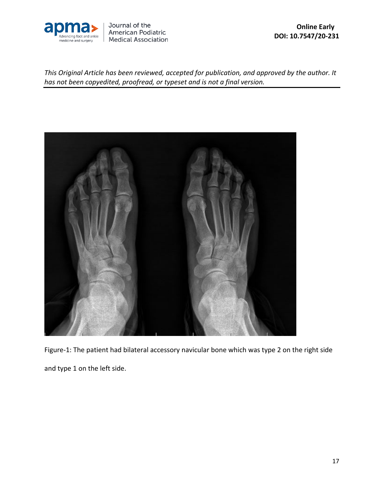

Journal of the American Podiatric **Medical Association** 

 **Online Early DOI: 10.7547/20-231**

*This Original Article has been reviewed, accepted for publication, and approved by the author. It has not been copyedited, proofread, or typeset and is not a final version.* 



Figure-1: The patient had bilateral accessory navicular bone which was type 2 on the right side and type 1 on the left side.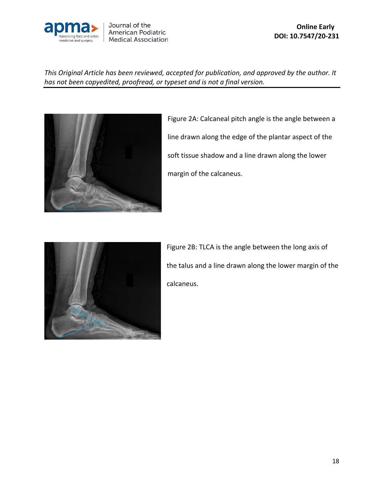

Journal of the American Podiatric **Medical Association** 

*This Original Article has been reviewed, accepted for publication, and approved by the author. It has not been copyedited, proofread, or typeset and is not a final version.* 



Figure 2A: Calcaneal pitch angle is the angle between a line drawn along the edge of the plantar aspect of the soft tissue shadow and a line drawn along the lower margin of the calcaneus.



Figure 2B: TLCA is the angle between the long axis of the talus and a line drawn along the lower margin of the calcaneus.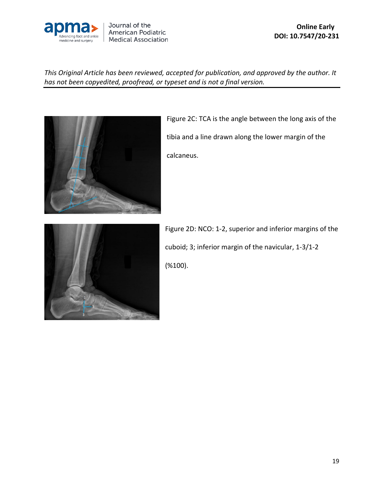



Figure 2C: TCA is the angle between the long axis of the tibia and a line drawn along the lower margin of the calcaneus.



Figure 2D: NCO: 1-2, superior and inferior margins of the cuboid; 3; inferior margin of the navicular, 1-3/1-2 (%100).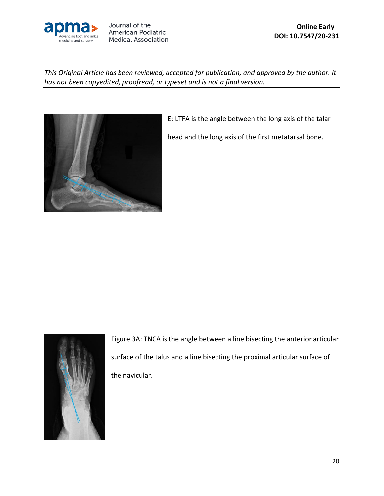



E: LTFA is the angle between the long axis of the talar

head and the long axis of the first metatarsal bone.



Figure 3A: TNCA is the angle between a line bisecting the anterior articular surface of the talus and a line bisecting the proximal articular surface of the navicular.